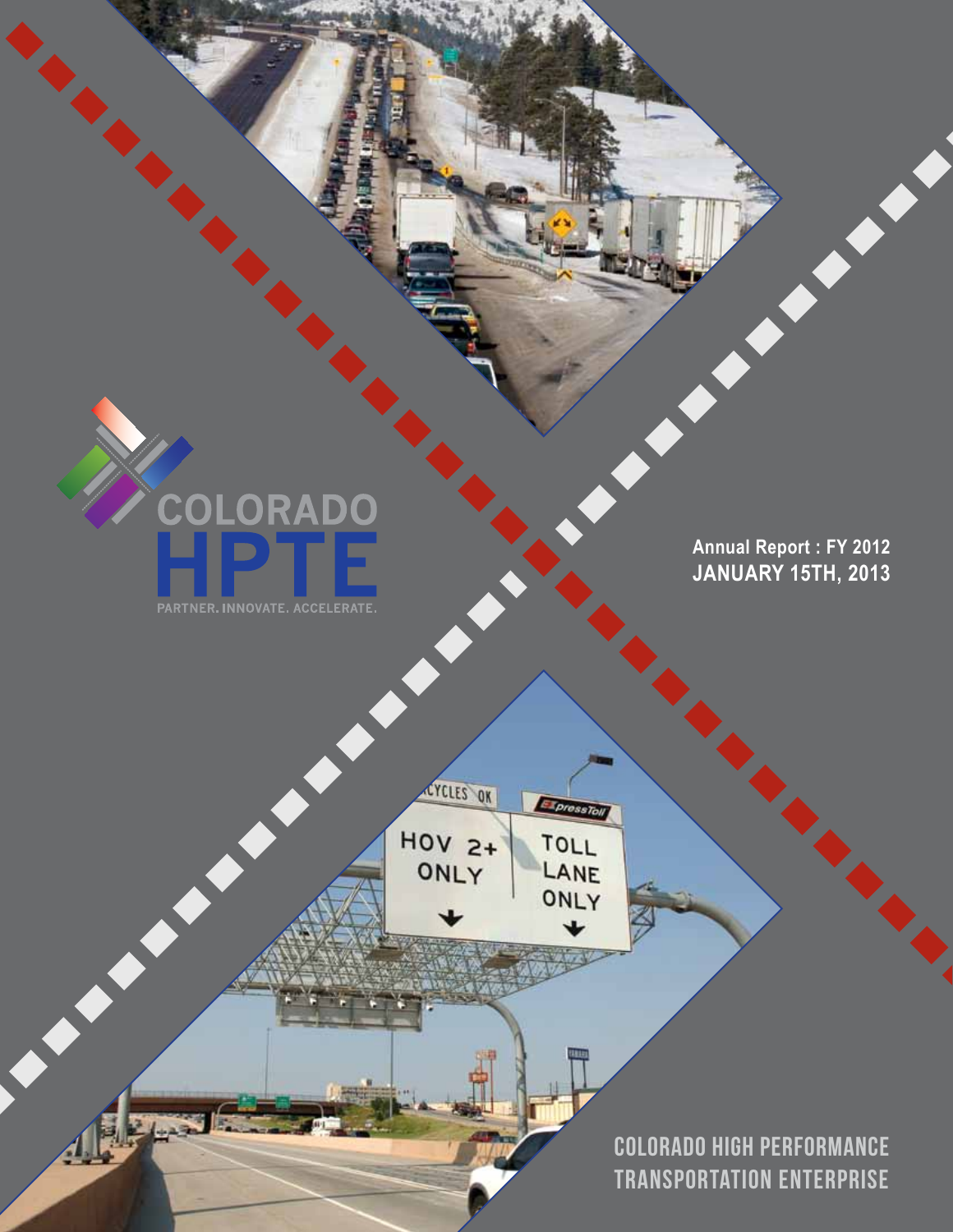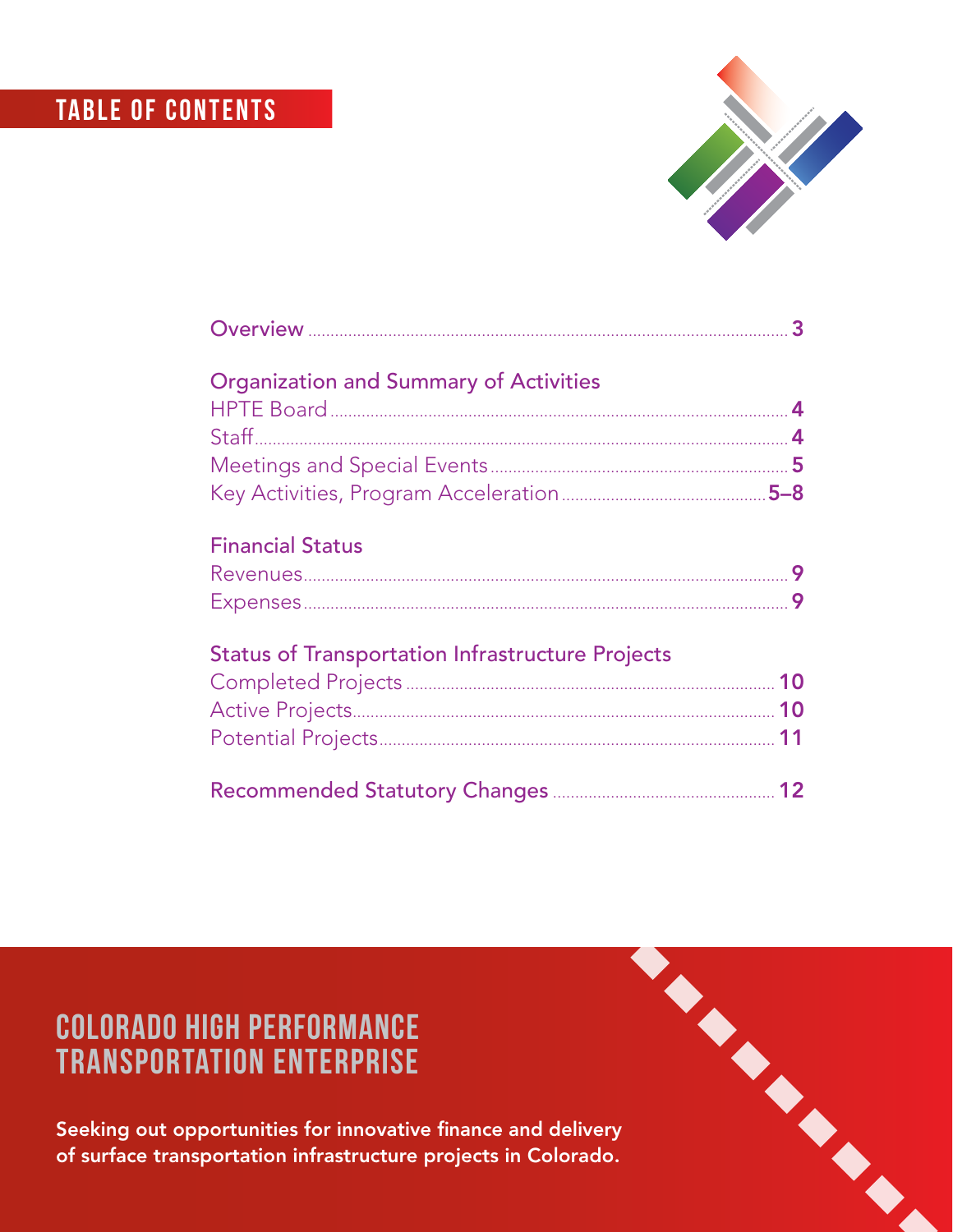# **TABLE OF CONTENTS**



# Colorado High Performance Transportation Enterprise

Seeking out opportunities for innovative finance and delivery of surface transportation infrastructure projects in Colorado.

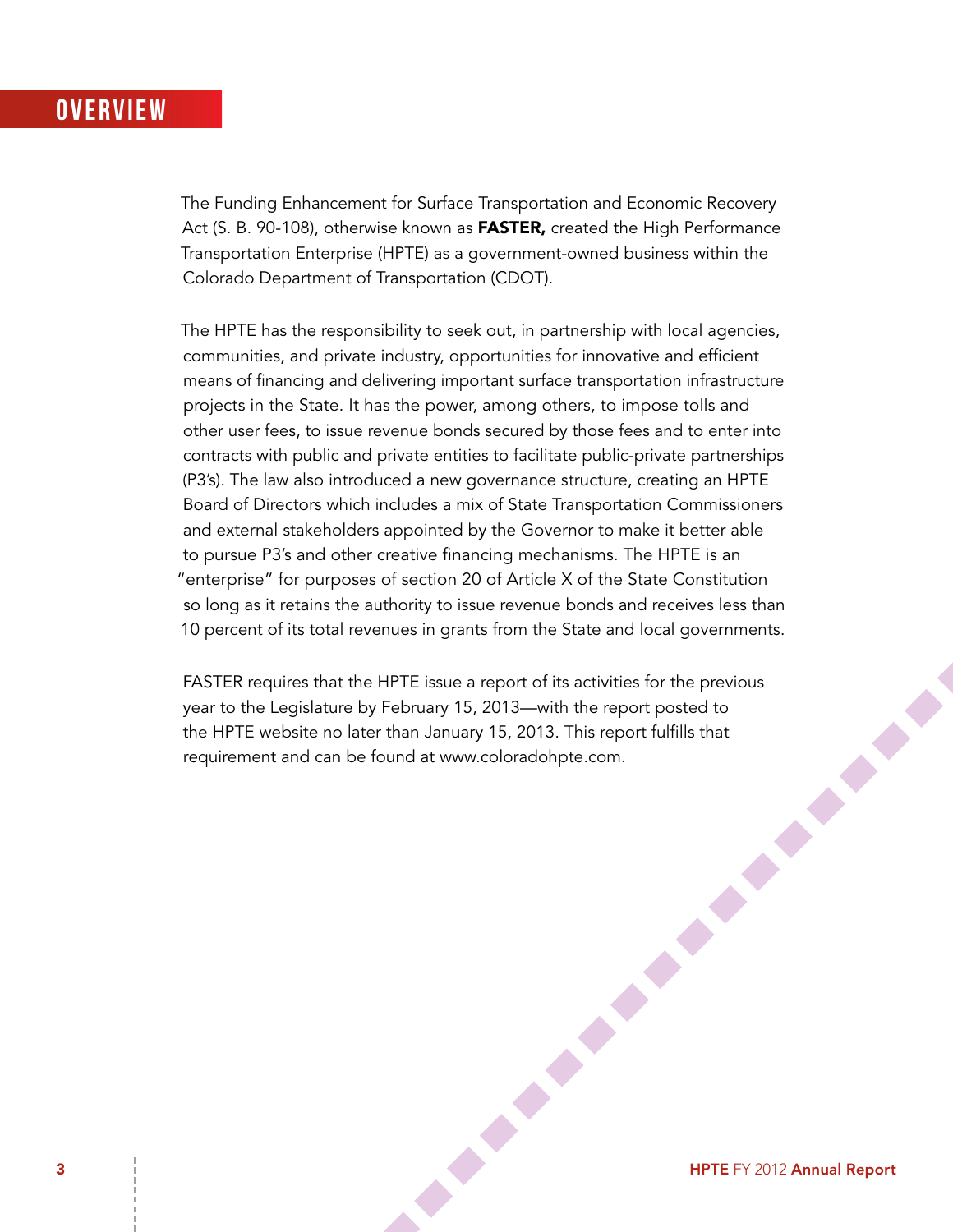#### **OVERVIEW**

The Funding Enhancement for Surface Transportation and Economic Recovery Act (S. B. 90-108), otherwise known as **FASTER**, created the High Performance Transportation Enterprise (HPTE) as a government-owned business within the Colorado Department of Transportation (CDOT).

The HPTE has the responsibility to seek out, in partnership with local agencies, communities, and private industry, opportunities for innovative and efficient means of financing and delivering important surface transportation infrastructure projects in the State. It has the power, among others, to impose tolls and other user fees, to issue revenue bonds secured by those fees and to enter into contracts with public and private entities to facilitate public-private partnerships (P3's). The law also introduced a new governance structure, creating an HPTE Board of Directors which includes a mix of State Transportation Commissioners and external stakeholders appointed by the Governor to make it better able to pursue P3's and other creative financing mechanisms. The HPTE is an "enterprise" for purposes of section 20 of Article X of the State Constitution so long as it retains the authority to issue revenue bonds and receives less than 10 percent of its total revenues in grants from the State and local governments.

3 HPTE FY 2012 Annual Report FASTER requires that the HPTE issue a report of its activities for the previous year to the Legislature by February 15, 2013—with the report posted to the HPTE website no later than January 15, 2013. This report fulfills that requirement and can be found at www.coloradohpte.com.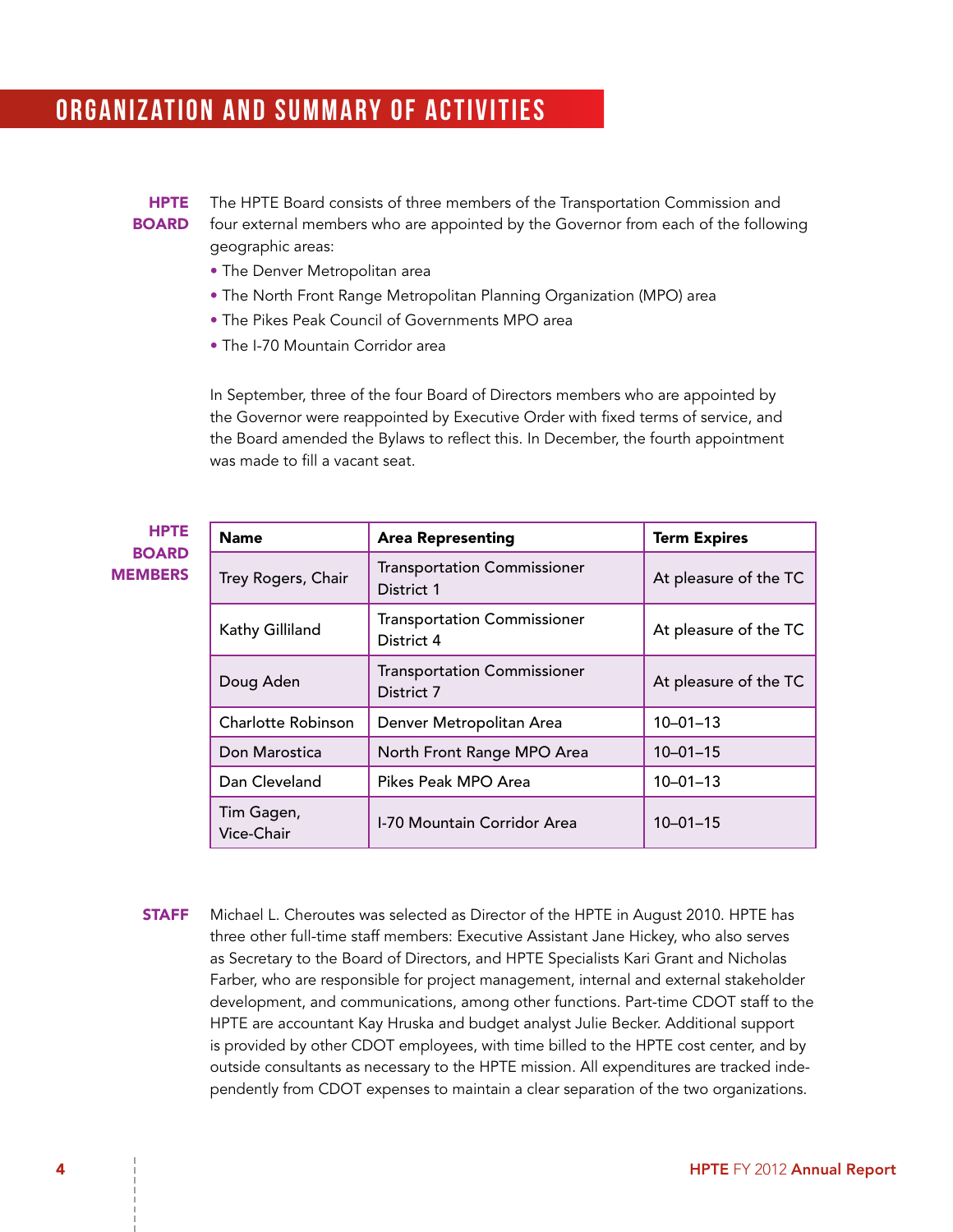### ORGANIZATION AND SUMMARY OF ACTIVITIES

#### HPTE BOARD

The HPTE Board consists of three members of the Transportation Commission and four external members who are appointed by the Governor from each of the following geographic areas:

- The Denver Metropolitan area
- The North Front Range Metropolitan Planning Organization (MPO) area
- The Pikes Peak Council of Governments MPO area
- The I-70 Mountain Corridor area

In September, three of the four Board of Directors members who are appointed by the Governor were reappointed by Executive Order with fixed terms of service, and the Board amended the Bylaws to reflect this. In December, the fourth appointment was made to fill a vacant seat.

| <b>HPTE</b>                    | <b>Name</b>               | <b>Area Representing</b>                         | <b>Term Expires</b>   |
|--------------------------------|---------------------------|--------------------------------------------------|-----------------------|
| <b>BOARD</b><br><b>MEMBERS</b> | Trey Rogers, Chair        | <b>Transportation Commissioner</b><br>District 1 | At pleasure of the TC |
|                                | Kathy Gilliland           | <b>Transportation Commissioner</b><br>District 4 | At pleasure of the TC |
|                                | Doug Aden                 | <b>Transportation Commissioner</b><br>District 7 | At pleasure of the TC |
|                                | <b>Charlotte Robinson</b> | Denver Metropolitan Area                         | $10 - 01 - 13$        |
|                                | Don Marostica             | North Front Range MPO Area                       | $10 - 01 - 15$        |
|                                | Dan Cleveland             | Pikes Peak MPO Area                              | $10 - 01 - 13$        |
|                                | Tim Gagen,<br>Vice-Chair  | I-70 Mountain Corridor Area                      | $10 - 01 - 15$        |

**STAFF** Michael L. Cheroutes was selected as Director of the HPTE in August 2010. HPTE has three other full-time staff members: Executive Assistant Jane Hickey, who also serves as Secretary to the Board of Directors, and HPTE Specialists Kari Grant and Nicholas Farber, who are responsible for project management, internal and external stakeholder development, and communications, among other functions. Part-time CDOT staff to the HPTE are accountant Kay Hruska and budget analyst Julie Becker. Additional support is provided by other CDOT employees, with time billed to the HPTE cost center, and by outside consultants as necessary to the HPTE mission. All expenditures are tracked independently from CDOT expenses to maintain a clear separation of the two organizations.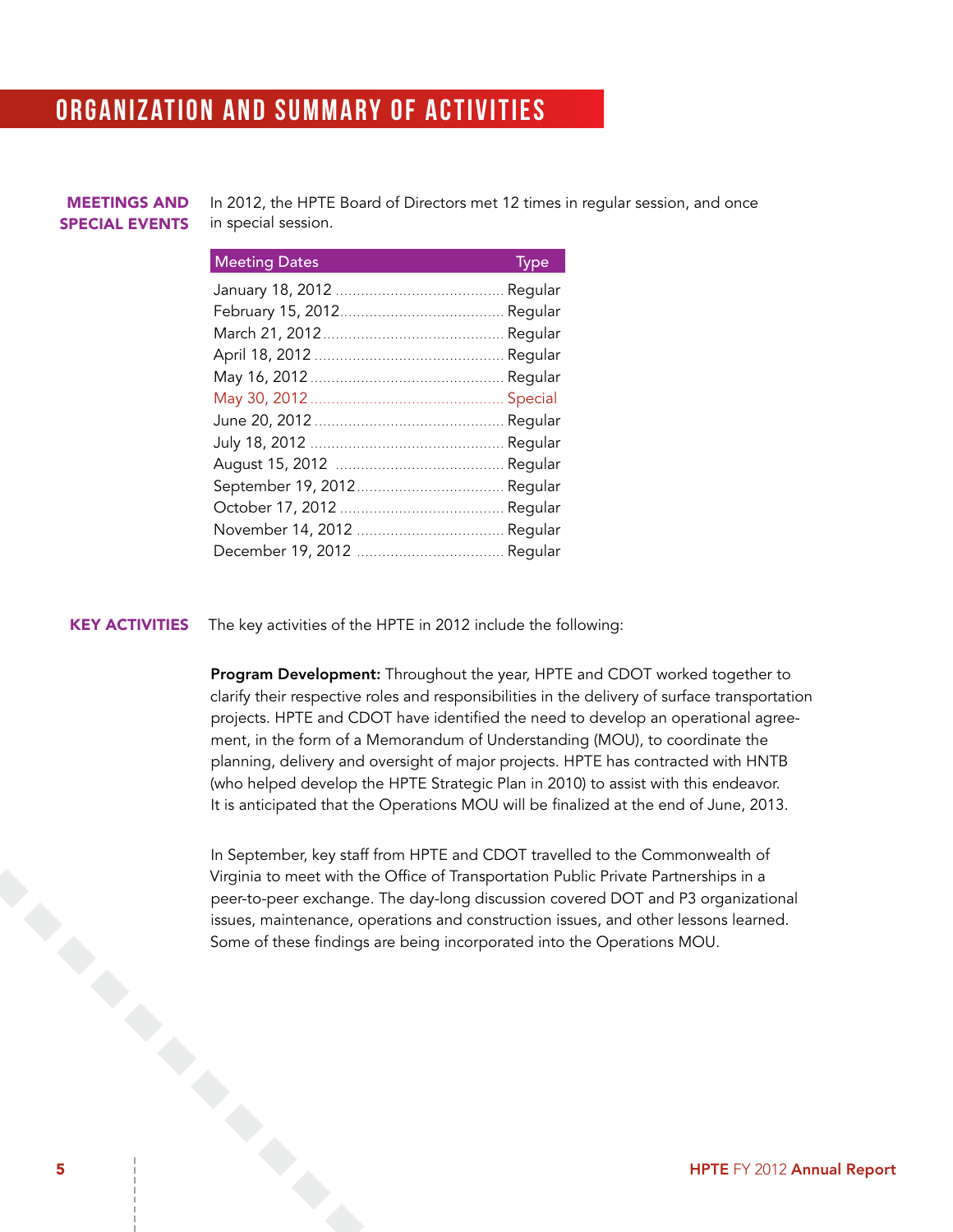### ORGANIZATION AND SUMMARY OF ACTIVITIES

#### Meetings and Special Events

In 2012, the HPTE Board of Directors met 12 times in regular session, and once in special session.

#### Meeting Dates Type

| weeting Bates and the company of the state of the state of the state of the state of the state of the state of |  |
|----------------------------------------------------------------------------------------------------------------|--|
|                                                                                                                |  |
|                                                                                                                |  |
|                                                                                                                |  |
|                                                                                                                |  |
|                                                                                                                |  |
|                                                                                                                |  |
|                                                                                                                |  |
|                                                                                                                |  |
| August 15, 2012 ………………………………… Regular                                                                          |  |
|                                                                                                                |  |
|                                                                                                                |  |
|                                                                                                                |  |
|                                                                                                                |  |

#### KEY ACTIVITIES The key activities of the HPTE in 2012 include the following:

Program Development: Throughout the year, HPTE and CDOT worked together to clarify their respective roles and responsibilities in the delivery of surface transportation projects. HPTE and CDOT have identified the need to develop an operational agreement, in the form of a Memorandum of Understanding (MOU), to coordinate the planning, delivery and oversight of major projects. HPTE has contracted with HNTB (who helped develop the HPTE Strategic Plan in 2010) to assist with this endeavor. It is anticipated that the Operations MOU will be finalized at the end of June, 2013.

Some or .<br>
Some or .<br>
Some of the FY 2012 Annual Report<br>
Simple FY 2012 Annual Report In September, key staff from HPTE and CDOT travelled to the Commonwealth of Virginia to meet with the Office of Transportation Public Private Partnerships in a peer-to-peer exchange. The day-long discussion covered DOT and P3 organizational issues, maintenance, operations and construction issues, and other lessons learned. Some of these findings are being incorporated into the Operations MOU.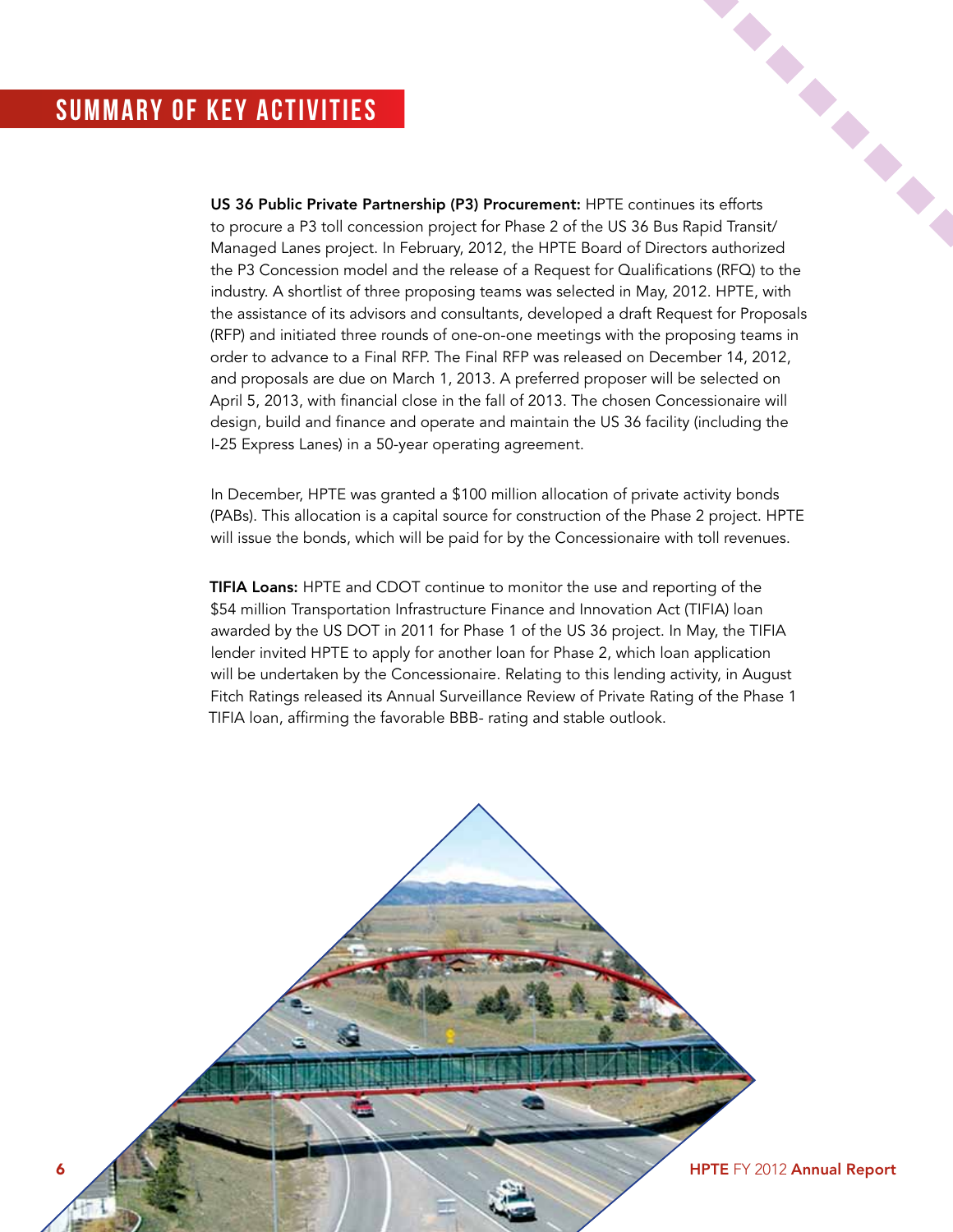### Summary of KEY Activities

US 36 Public Private Partnership (P3) Procurement: HPTE continues its efforts to procure a P3 toll concession project for Phase 2 of the US 36 Bus Rapid Transit/ Managed Lanes project. In February, 2012, the HPTE Board of Directors authorized the P3 Concession model and the release of a Request for Qualifications (RFQ) to the industry. A shortlist of three proposing teams was selected in May, 2012. HPTE, with the assistance of its advisors and consultants, developed a draft Request for Proposals (RFP) and initiated three rounds of one-on-one meetings with the proposing teams in order to advance to a Final RFP. The Final RFP was released on December 14, 2012, and proposals are due on March 1, 2013. A preferred proposer will be selected on April 5, 2013, with financial close in the fall of 2013. The chosen Concessionaire will design, build and finance and operate and maintain the US 36 facility (including the I-25 Express Lanes) in a 50-year operating agreement.

In December, HPTE was granted a \$100 million allocation of private activity bonds (PABs). This allocation is a capital source for construction of the Phase 2 project. HPTE will issue the bonds, which will be paid for by the Concessionaire with toll revenues.

TIFIA Loans: HPTE and CDOT continue to monitor the use and reporting of the \$54 million Transportation Infrastructure Finance and Innovation Act (TIFIA) loan awarded by the US DOT in 2011 for Phase 1 of the US 36 project. In May, the TIFIA lender invited HPTE to apply for another loan for Phase 2, which loan application will be undertaken by the Concessionaire. Relating to this lending activity, in August Fitch Ratings released its Annual Surveillance Review of Private Rating of the Phase 1 TIFIA loan, affirming the favorable BBB- rating and stable outlook.

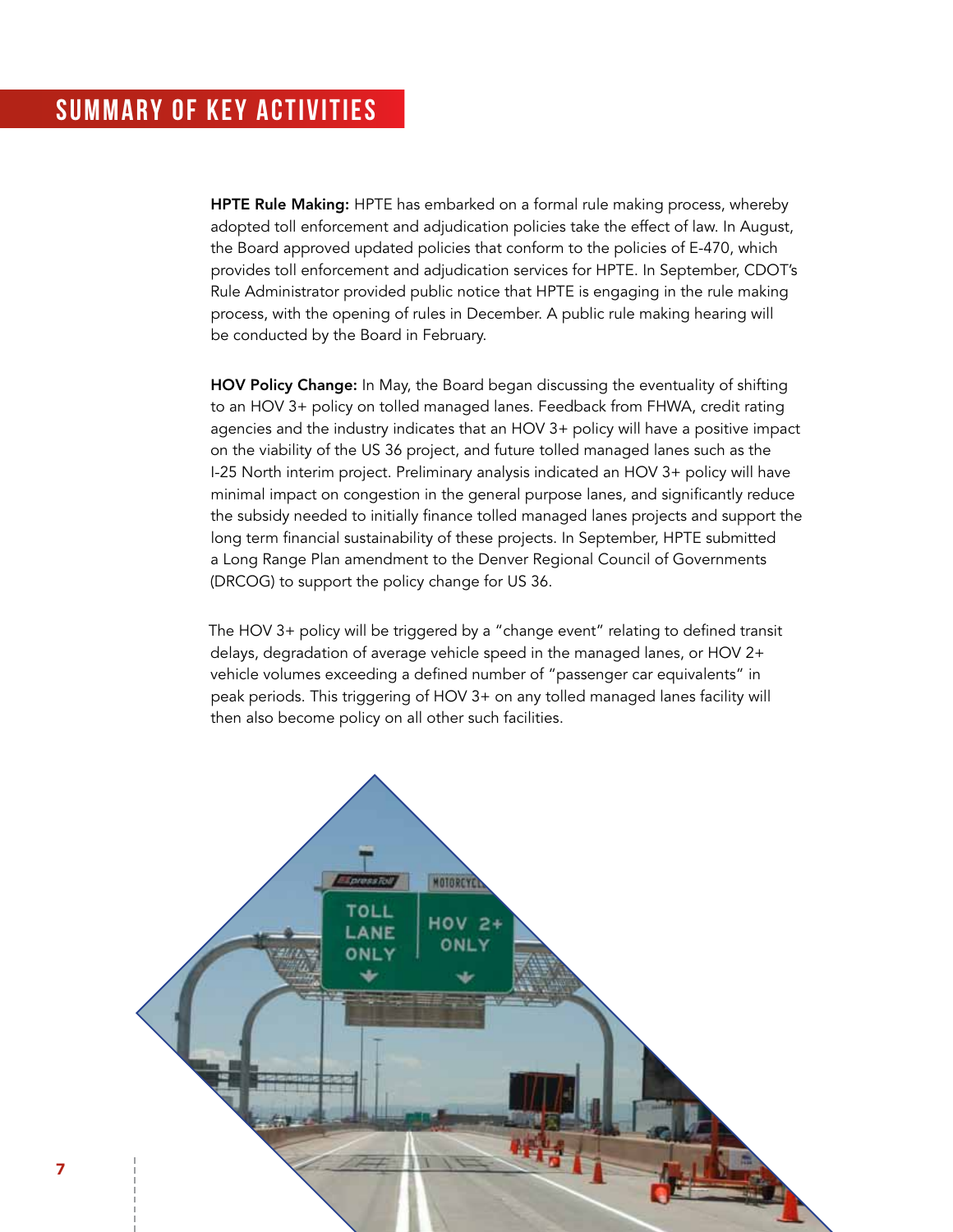### Summary of KEY Activities

HPTE Rule Making: HPTE has embarked on a formal rule making process, whereby adopted toll enforcement and adjudication policies take the effect of law. In August, the Board approved updated policies that conform to the policies of E-470, which provides toll enforcement and adjudication services for HPTE. In September, CDOT's Rule Administrator provided public notice that HPTE is engaging in the rule making process, with the opening of rules in December. A public rule making hearing will be conducted by the Board in February.

HOV Policy Change: In May, the Board began discussing the eventuality of shifting to an HOV 3+ policy on tolled managed lanes. Feedback from FHWA, credit rating agencies and the industry indicates that an HOV 3+ policy will have a positive impact on the viability of the US 36 project, and future tolled managed lanes such as the I-25 North interim project. Preliminary analysis indicated an HOV 3+ policy will have minimal impact on congestion in the general purpose lanes, and significantly reduce the subsidy needed to initially finance tolled managed lanes projects and support the long term financial sustainability of these projects. In September, HPTE submitted a Long Range Plan amendment to the Denver Regional Council of Governments (DRCOG) to support the policy change for US 36.

The HOV 3+ policy will be triggered by a "change event" relating to defined transit delays, degradation of average vehicle speed in the managed lanes, or HOV 2+ vehicle volumes exceeding a defined number of "passenger car equivalents" in peak periods. This triggering of HOV 3+ on any tolled managed lanes facility will then also become policy on all other such facilities.

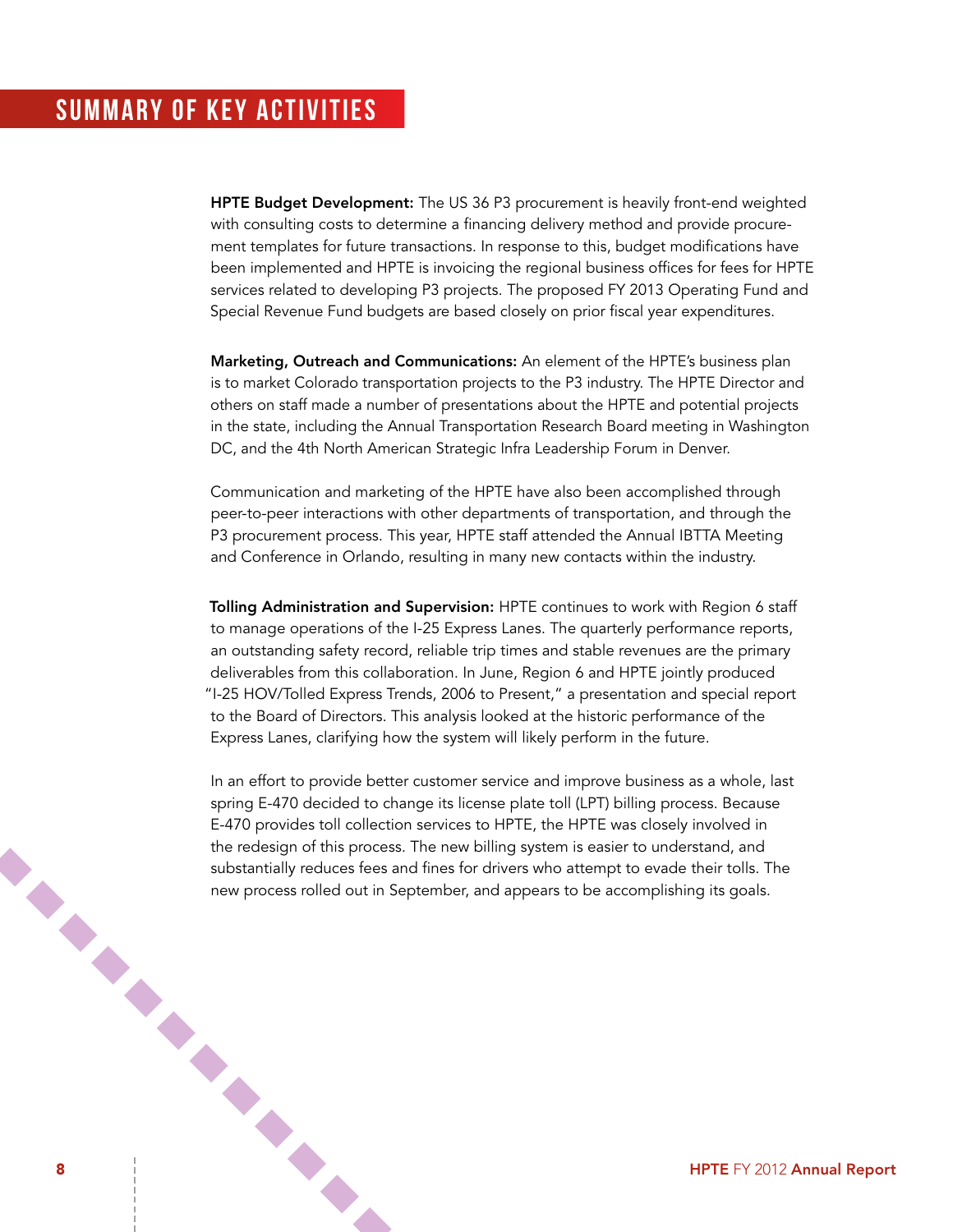### Summary of KEY Activities

HPTE Budget Development: The US 36 P3 procurement is heavily front-end weighted with consulting costs to determine a financing delivery method and provide procurement templates for future transactions. In response to this, budget modifications have been implemented and HPTE is invoicing the regional business offices for fees for HPTE services related to developing P3 projects. The proposed FY 2013 Operating Fund and Special Revenue Fund budgets are based closely on prior fiscal year expenditures.

Marketing, Outreach and Communications: An element of the HPTE's business plan is to market Colorado transportation projects to the P3 industry. The HPTE Director and others on staff made a number of presentations about the HPTE and potential projects in the state, including the Annual Transportation Research Board meeting in Washington DC, and the 4th North American Strategic Infra Leadership Forum in Denver.

Communication and marketing of the HPTE have also been accomplished through peer-to-peer interactions with other departments of transportation, and through the P3 procurement process. This year, HPTE staff attended the Annual IBTTA Meeting and Conference in Orlando, resulting in many new contacts within the industry.

Tolling Administration and Supervision: HPTE continues to work with Region 6 staff to manage operations of the I-25 Express Lanes. The quarterly performance reports, an outstanding safety record, reliable trip times and stable revenues are the primary deliverables from this collaboration. In June, Region 6 and HPTE jointly produced "I-25 HOV/Tolled Express Trends, 2006 to Present," a presentation and special report to the Board of Directors. This analysis looked at the historic performance of the Express Lanes, clarifying how the system will likely perform in the future.

8 HPTE FY 2012 Annual Report In an effort to provide better customer service and improve business as a whole, last spring E-470 decided to change its license plate toll (LPT) billing process. Because E-470 provides toll collection services to HPTE, the HPTE was closely involved in the redesign of this process. The new billing system is easier to understand, and substantially reduces fees and fines for drivers who attempt to evade their tolls. The new process rolled out in September, and appears to be accomplishing its goals.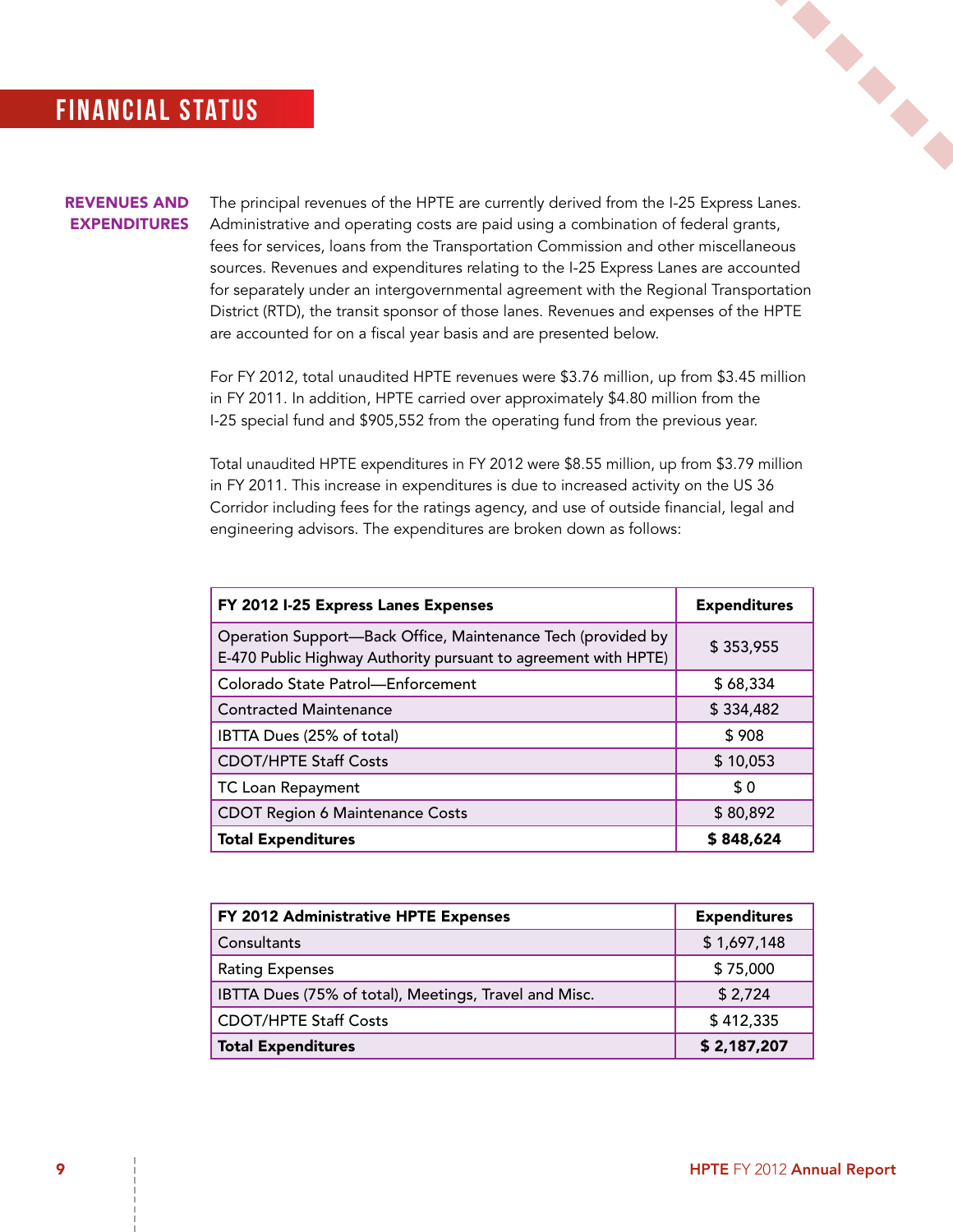### **FINANCIAL STATUS**

#### Revenues and **EXPENDITURES**

The principal revenues of the HPTE are currently derived from the I-25 Express Lanes. Administrative and operating costs are paid using a combination of federal grants, fees for services, loans from the Transportation Commission and other miscellaneous sources. Revenues and expenditures relating to the I-25 Express Lanes are accounted for separately under an intergovernmental agreement with the Regional Transportation District (RTD), the transit sponsor of those lanes. Revenues and expenses of the HPTE are accounted for on a fiscal year basis and are presented below.

For FY 2012, total unaudited HPTE revenues were \$3.76 million, up from \$3.45 million in FY 2011. In addition, HPTE carried over approximately \$4.80 million from the I-25 special fund and \$905,552 from the operating fund from the previous year.

Total unaudited HPTE expenditures in FY 2012 were \$8.55 million, up from \$3.79 million in FY 2011. This increase in expenditures is due to increased activity on the US 36 Corridor including fees for the ratings agency, and use of outside financial, legal and engineering advisors. The expenditures are broken down as follows:

| FY 2012 I-25 Express Lanes Expenses                                                                                             | <b>Expenditures</b> |
|---------------------------------------------------------------------------------------------------------------------------------|---------------------|
| Operation Support-Back Office, Maintenance Tech (provided by<br>E-470 Public Highway Authority pursuant to agreement with HPTE) | \$353,955           |
| Colorado State Patrol-Enforcement                                                                                               | \$68,334            |
| <b>Contracted Maintenance</b>                                                                                                   | \$334,482           |
| IBTTA Dues (25% of total)                                                                                                       | \$908               |
| <b>CDOT/HPTE Staff Costs</b>                                                                                                    | \$10,053            |
| <b>TC Loan Repayment</b>                                                                                                        | \$0                 |
| <b>CDOT Region 6 Maintenance Costs</b>                                                                                          | \$80,892            |
| <b>Total Expenditures</b>                                                                                                       | \$848,624           |

| FY 2012 Administrative HPTE Expenses                  | <b>Expenditures</b> |
|-------------------------------------------------------|---------------------|
| Consultants                                           | \$1,697,148         |
| <b>Rating Expenses</b>                                | \$75,000            |
| IBTTA Dues (75% of total), Meetings, Travel and Misc. | \$2,724             |
| <b>CDOT/HPTE Staff Costs</b>                          | \$412,335           |
| <b>Total Expenditures</b>                             | \$2,187,207         |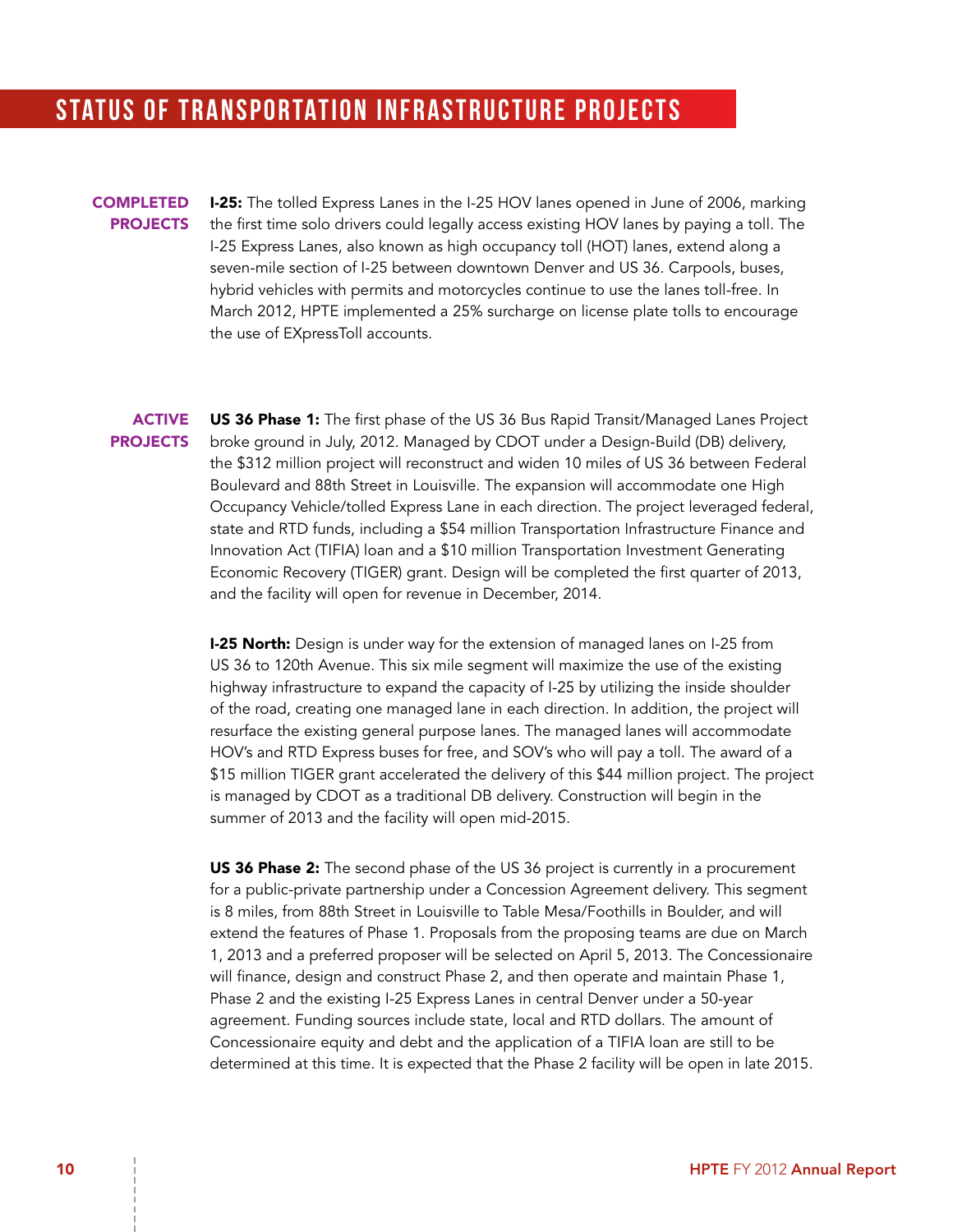### STATUS OF TRANSPORTATION INFRASTRUCTURE PROJECTS

#### **COMPLETED PROJECTS**

**I-25:** The tolled Express Lanes in the I-25 HOV lanes opened in June of 2006, marking the first time solo drivers could legally access existing HOV lanes by paying a toll. The I-25 Express Lanes, also known as high occupancy toll (HOT) lanes, extend along a seven-mile section of I-25 between downtown Denver and US 36. Carpools, buses, hybrid vehicles with permits and motorcycles continue to use the lanes toll-free. In March 2012, HPTE implemented a 25% surcharge on license plate tolls to encourage the use of EXpressToll accounts.

#### **ACTIVE PROJECTS**

US 36 Phase 1: The first phase of the US 36 Bus Rapid Transit/Managed Lanes Project broke ground in July, 2012. Managed by CDOT under a Design-Build (DB) delivery, the \$312 million project will reconstruct and widen 10 miles of US 36 between Federal Boulevard and 88th Street in Louisville. The expansion will accommodate one High Occupancy Vehicle/tolled Express Lane in each direction. The project leveraged federal, state and RTD funds, including a \$54 million Transportation Infrastructure Finance and Innovation Act (TIFIA) loan and a \$10 million Transportation Investment Generating Economic Recovery (TIGER) grant. Design will be completed the first quarter of 2013, and the facility will open for revenue in December, 2014.

**I-25 North:** Design is under way for the extension of managed lanes on I-25 from US 36 to 120th Avenue. This six mile segment will maximize the use of the existing highway infrastructure to expand the capacity of I-25 by utilizing the inside shoulder of the road, creating one managed lane in each direction. In addition, the project will resurface the existing general purpose lanes. The managed lanes will accommodate HOV's and RTD Express buses for free, and SOV's who will pay a toll. The award of a \$15 million TIGER grant accelerated the delivery of this \$44 million project. The project is managed by CDOT as a traditional DB delivery. Construction will begin in the summer of 2013 and the facility will open mid-2015.

US 36 Phase 2: The second phase of the US 36 project is currently in a procurement for a public-private partnership under a Concession Agreement delivery. This segment is 8 miles, from 88th Street in Louisville to Table Mesa/Foothills in Boulder, and will extend the features of Phase 1. Proposals from the proposing teams are due on March 1, 2013 and a preferred proposer will be selected on April 5, 2013. The Concessionaire will finance, design and construct Phase 2, and then operate and maintain Phase 1, Phase 2 and the existing I-25 Express Lanes in central Denver under a 50-year agreement. Funding sources include state, local and RTD dollars. The amount of Concessionaire equity and debt and the application of a TIFIA loan are still to be determined at this time. It is expected that the Phase 2 facility will be open in late 2015.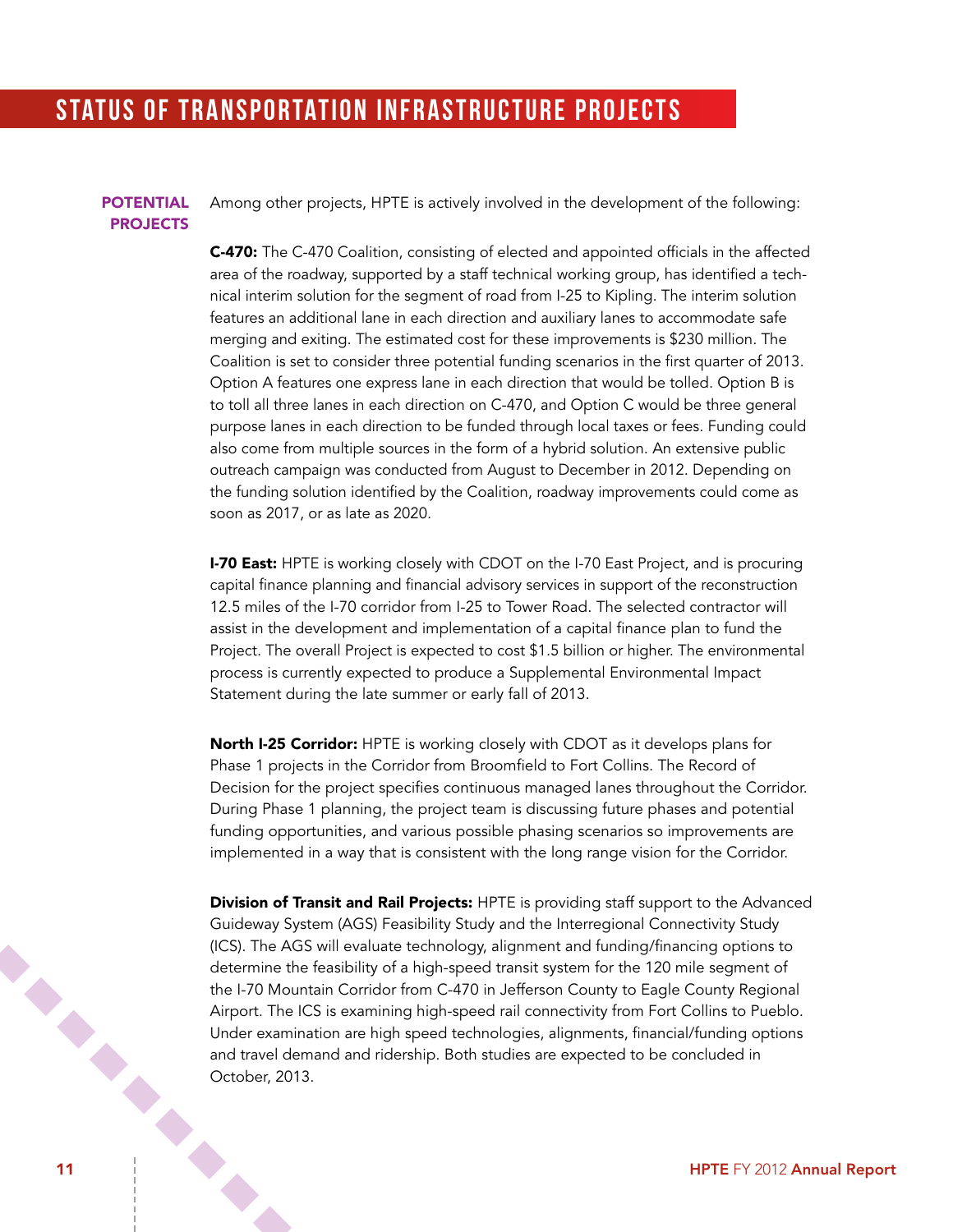### STATUS OF TRANSPORTATION INFRASTRUCTURE PROJECTS

#### **POTENTIAL PROJECTS**

Among other projects, HPTE is actively involved in the development of the following:

C-470: The C-470 Coalition, consisting of elected and appointed officials in the affected area of the roadway, supported by a staff technical working group, has identified a technical interim solution for the segment of road from I-25 to Kipling. The interim solution features an additional lane in each direction and auxiliary lanes to accommodate safe merging and exiting. The estimated cost for these improvements is \$230 million. The Coalition is set to consider three potential funding scenarios in the first quarter of 2013. Option A features one express lane in each direction that would be tolled. Option B is to toll all three lanes in each direction on C-470, and Option C would be three general purpose lanes in each direction to be funded through local taxes or fees. Funding could also come from multiple sources in the form of a hybrid solution. An extensive public outreach campaign was conducted from August to December in 2012. Depending on the funding solution identified by the Coalition, roadway improvements could come as soon as 2017, or as late as 2020.

**I-70 East:** HPTE is working closely with CDOT on the I-70 East Project, and is procuring capital finance planning and financial advisory services in support of the reconstruction 12.5 miles of the I-70 corridor from I-25 to Tower Road. The selected contractor will assist in the development and implementation of a capital finance plan to fund the Project. The overall Project is expected to cost \$1.5 billion or higher. The environmental process is currently expected to produce a Supplemental Environmental Impact Statement during the late summer or early fall of 2013.

North I-25 Corridor: HPTE is working closely with CDOT as it develops plans for Phase 1 projects in the Corridor from Broomfield to Fort Collins. The Record of Decision for the project specifies continuous managed lanes throughout the Corridor. During Phase 1 planning, the project team is discussing future phases and potential funding opportunities, and various possible phasing scenarios so improvements are implemented in a way that is consistent with the long range vision for the Corridor.

the .<br>
Airport. The ICD .<br>
Under examination are high ...<br>
and travel demand and ridership. Both s...<br>
October, 2013.<br>
11 HPTE FY 2012 Annual Report **Division of Transit and Rail Projects:** HPTE is providing staff support to the Advanced Guideway System (AGS) Feasibility Study and the Interregional Connectivity Study (ICS). The AGS will evaluate technology, alignment and funding/financing options to determine the feasibility of a high-speed transit system for the 120 mile segment of the I-70 Mountain Corridor from C-470 in Jefferson County to Eagle County Regional Airport. The ICS is examining high-speed rail connectivity from Fort Collins to Pueblo. Under examination are high speed technologies, alignments, financial/funding options and travel demand and ridership. Both studies are expected to be concluded in October, 2013.